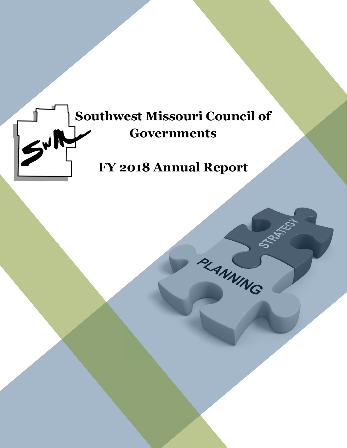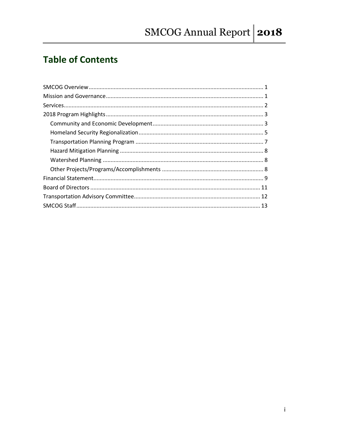# **Table of Contents**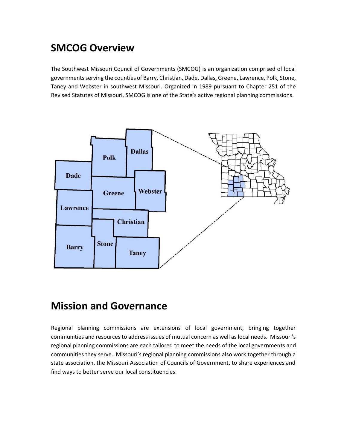## **SMCOG Overview**

The Southwest Missouri Council of Governments (SMCOG) is an organization comprised of local governments serving the counties of Barry, Christian, Dade, Dallas, Greene, Lawrence, Polk, Stone, Taney and Webster in southwest Missouri. Organized in 1989 pursuant to Chapter 251 of the Revised Statutes of Missouri, SMCOG is one of the State's active regional planning commissions.



## **Mission and Governance**

Regional planning commissions are extensions of local government, bringing together communities and resources to address issues of mutual concern as well as local needs. Missouri's regional planning commissions are each tailored to meet the needs of the local governments and communities they serve. Missouri's regional planning commissions also work together through a state association, the Missouri Association of Councils of Government, to share experiences and find ways to better serve our local constituencies.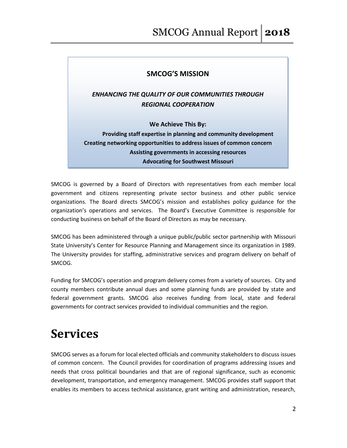#### **SMCOG'S MISSION**

*ENHANCING THE QUALITY OF OUR COMMUNITIES THROUGH REGIONAL COOPERATION*

**We Achieve This By:**

**Providing staff expertise in planning and community development Creating networking opportunities to address issues of common concern Assisting governments in accessing resources Advocating for Southwest Missouri**

SMCOG is governed by a Board of Directors with representatives from each member local government and citizens representing private sector business and other public service organizations. The Board directs SMCOG's mission and establishes policy guidance for the organization's operations and services. The Board's Executive Committee is responsible for conducting business on behalf of the Board of Directors as may be necessary.

SMCOG has been administered through a unique public/public sector partnership with Missouri State University's Center for Resource Planning and Management since its organization in 1989. The University provides for staffing, administrative services and program delivery on behalf of SMCOG.

Funding for SMCOG's operation and program delivery comes from a variety of sources. City and county members contribute annual dues and some planning funds are provided by state and federal government grants. SMCOG also receives funding from local, state and federal governments for contract services provided to individual communities and the region.

# **Services**

SMCOG serves as a forum for local elected officials and community stakeholders to discuss issues of common concern. The Council provides for coordination of programs addressing issues and needs that cross political boundaries and that are of regional significance, such as economic development, transportation, and emergency management. SMCOG provides staff support that enables its members to access technical assistance, grant writing and administration, research,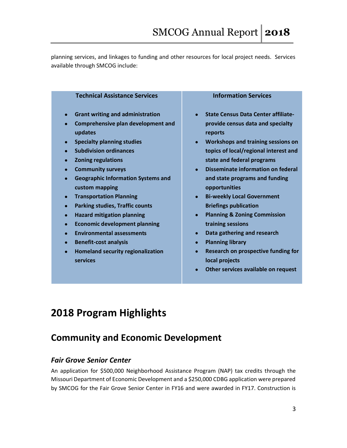planning services, and linkages to funding and other resources for local project needs. Services available through SMCOG include:

| <b>Technical Assistance Services</b>                   | <b>Information Services</b>                          |
|--------------------------------------------------------|------------------------------------------------------|
| <b>Grant writing and administration</b><br>$\bullet$   | <b>State Census Data Center affiliate-</b>           |
| Comprehensive plan development and<br>$\bullet$        | provide census data and specialty                    |
| updates                                                | reports                                              |
| <b>Specialty planning studies</b><br>$\bullet$         | Workshops and training sessions on<br>$\bullet$      |
| <b>Subdivision ordinances</b>                          | topics of local/regional interest and                |
| <b>Zoning regulations</b><br>$\bullet$                 | state and federal programs                           |
| <b>Community surveys</b><br>$\bullet$                  | Disseminate information on federal<br>$\bullet$      |
| <b>Geographic Information Systems and</b><br>$\bullet$ | and state programs and funding                       |
| custom mapping                                         | opportunities                                        |
| <b>Transportation Planning</b><br>$\bullet$            | <b>Bi-weekly Local Government</b><br>$\bullet$       |
| <b>Parking studies, Traffic counts</b><br>$\bullet$    | <b>Briefings publication</b>                         |
| <b>Hazard mitigation planning</b><br>$\bullet$         | <b>Planning &amp; Zoning Commission</b><br>$\bullet$ |
| <b>Economic development planning</b><br>$\bullet$      | training sessions                                    |
| <b>Environmental assessments</b><br>$\bullet$          | Data gathering and research<br>$\bullet$             |
| <b>Benefit-cost analysis</b><br>$\bullet$              | <b>Planning library</b>                              |

- **Homeland security regionalization services**
- **Research on prospective funding for local projects**
- **Other services available on request**

# **2018 Program Highlights**

## **Community and Economic Development**

### *Fair Grove Senior Center*

An application for \$500,000 Neighborhood Assistance Program (NAP) tax credits through the Missouri Department of Economic Development and a \$250,000 CDBG application were prepared by SMCOG for the Fair Grove Senior Center in FY16 and were awarded in FY17. Construction is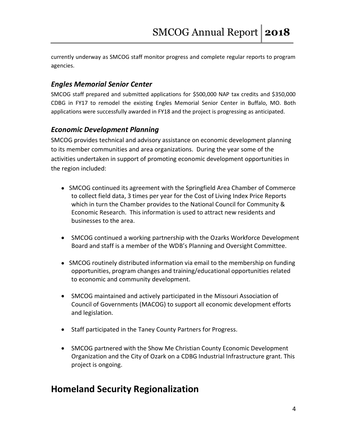currently underway as SMCOG staff monitor progress and complete regular reports to program agencies.

#### *Engles Memorial Senior Center*

SMCOG staff prepared and submitted applications for \$500,000 NAP tax credits and \$350,000 CDBG in FY17 to remodel the existing Engles Memorial Senior Center in Buffalo, MO. Both applications were successfully awarded in FY18 and the project is progressing as anticipated.

#### *Economic Development Planning*

SMCOG provides technical and advisory assistance on economic development planning to its member communities and area organizations. During the year some of the activities undertaken in support of promoting economic development opportunities in the region included:

- SMCOG continued its agreement with the Springfield Area Chamber of Commerce to collect field data, 3 times per year for the Cost of Living Index Price Reports which in turn the Chamber provides to the National Council for Community & Economic Research. This information is used to attract new residents and businesses to the area.
- SMCOG continued a working partnership with the Ozarks Workforce Development Board and staff is a member of the WDB's Planning and Oversight Committee.
- SMCOG routinely distributed information via email to the membership on funding opportunities, program changes and training/educational opportunities related to economic and community development.
- SMCOG maintained and actively participated in the Missouri Association of Council of Governments (MACOG) to support all economic development efforts and legislation.
- Staff participated in the Taney County Partners for Progress.
- SMCOG partnered with the Show Me Christian County Economic Development Organization and the City of Ozark on a CDBG Industrial Infrastructure grant. This project is ongoing.

## **Homeland Security Regionalization**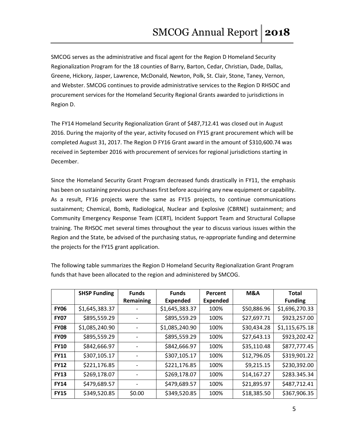SMCOG serves as the administrative and fiscal agent for the Region D Homeland Security Regionalization Program for the 18 counties of Barry, Barton, Cedar, Christian, Dade, Dallas, Greene, Hickory, Jasper, Lawrence, McDonald, Newton, Polk, St. Clair, Stone, Taney, Vernon, and Webster. SMCOG continues to provide administrative services to the Region D RHSOC and procurement services for the Homeland Security Regional Grants awarded to jurisdictions in Region D.

The FY14 Homeland Security Regionalization Grant of \$487,712.41 was closed out in August 2016. During the majority of the year, activity focused on FY15 grant procurement which will be completed August 31, 2017. The Region D FY16 Grant award in the amount of \$310,600.74 was received in September 2016 with procurement of services for regional jurisdictions starting in December.

Since the Homeland Security Grant Program decreased funds drastically in FY11, the emphasis has been on sustaining previous purchases first before acquiring any new equipment or capability. As a result, FY16 projects were the same as FY15 projects, to continue communications sustainment; Chemical, Bomb, Radiological, Nuclear and Explosive (CBRNE) sustainment; and Community Emergency Response Team (CERT), Incident Support Team and Structural Collapse training. The RHSOC met several times throughout the year to discuss various issues within the Region and the State, be advised of the purchasing status, re-appropriate funding and determine the projects for the FY15 grant application.

|             | <b>SHSP Funding</b> | <b>Funds</b> | <b>Funds</b>    | Percent         | M&A         | <b>Total</b>   |
|-------------|---------------------|--------------|-----------------|-----------------|-------------|----------------|
|             |                     | Remaining    | <b>Expended</b> | <b>Expended</b> |             | <b>Funding</b> |
| <b>FY06</b> | \$1,645,383.37      |              | \$1,645,383.37  | 100%            | \$50,886.96 | \$1,696,270.33 |
| <b>FY07</b> | \$895,559.29        |              | \$895,559.29    | 100%            | \$27,697.71 | \$923,257.00   |
| <b>FY08</b> | \$1,085,240.90      |              | \$1,085,240.90  | 100%            | \$30,434.28 | \$1,115,675.18 |
| <b>FY09</b> | \$895,559.29        |              | \$895,559.29    | 100%            | \$27,643.13 | \$923,202.42   |
| <b>FY10</b> | \$842,666.97        |              | \$842,666.97    | 100%            | \$35,110.48 | \$877,777.45   |
| <b>FY11</b> | \$307,105.17        |              | \$307,105.17    | 100%            | \$12,796.05 | \$319,901.22   |
| <b>FY12</b> | \$221,176.85        |              | \$221,176.85    | 100%            | \$9,215.15  | \$230,392.00   |
| <b>FY13</b> | \$269,178.07        |              | \$269,178.07    | 100%            | \$14,167.27 | \$283.345.34   |
| <b>FY14</b> | \$479,689.57        |              | \$479,689.57    | 100%            | \$21,895.97 | \$487,712.41   |
| <b>FY15</b> | \$349,520.85        | \$0.00       | \$349,520.85    | 100%            | \$18,385.50 | \$367,906.35   |

The following table summarizes the Region D Homeland Security Regionalization Grant Program funds that have been allocated to the region and administered by SMCOG.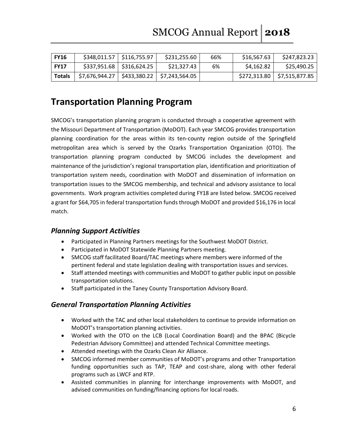| <b>FY16</b>   | \$348,011.57   \$116,755.97 | \$231,255.60                                    | 66% | \$16,567.63 | \$247,823.23                  |
|---------------|-----------------------------|-------------------------------------------------|-----|-------------|-------------------------------|
| <b>FY17</b>   | $$337,951.68$ $$316,624.25$ | \$21,327.43                                     | 6%  | \$4,162.82  | \$25,490.25                   |
| <b>Totals</b> |                             | $$7,676,944.27$   \$433,380.22   \$7,243,564.05 |     |             | \$272,313.80   \$7,515,877.85 |

## **Transportation Planning Program**

SMCOG's transportation planning program is conducted through a cooperative agreement with the Missouri Department of Transportation (MoDOT). Each year SMCOG provides transportation planning coordination for the areas within its ten-county region outside of the Springfield metropolitan area which is served by the Ozarks Transportation Organization (OTO). The transportation planning program conducted by SMCOG includes the development and maintenance of the jurisdiction's regional transportation plan, identification and prioritization of transportation system needs, coordination with MoDOT and dissemination of information on transportation issues to the SMCOG membership, and technical and advisory assistance to local governments. Work program activities completed during FY18 are listed below. SMCOG received a grant for \$64,705 in federal transportation funds through MoDOT and provided \$16,176 in local match.

#### *Planning Support Activities*

- Participated in Planning Partners meetings for the Southwest MoDOT District.
- Participated in MoDOT Statewide Planning Partners meeting.
- SMCOG staff facilitated Board/TAC meetings where members were informed of the pertinent federal and state legislation dealing with transportation issues and services.
- Staff attended meetings with communities and MoDOT to gather public input on possible transportation solutions.
- Staff participated in the Taney County Transportation Advisory Board.

### *General Transportation Planning Activities*

- Worked with the TAC and other local stakeholders to continue to provide information on MoDOT's transportation planning activities.
- Worked with the OTO on the LCB (Local Coordination Board) and the BPAC (Bicycle Pedestrian Advisory Committee) and attended Technical Committee meetings.
- Attended meetings with the Ozarks Clean Air Alliance.
- SMCOG informed member communities of MoDOT's programs and other Transportation funding opportunities such as TAP, TEAP and cost-share, along with other federal programs such as LWCF and RTP.
- Assisted communities in planning for interchange improvements with MoDOT, and advised communities on funding/financing options for local roads.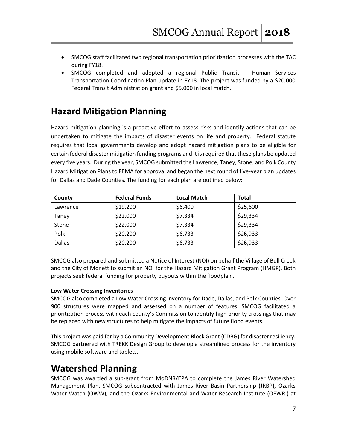- SMCOG staff facilitated two regional transportation prioritization processes with the TAC during FY18.
- SMCOG completed and adopted a regional Public Transit Human Services Transportation Coordination Plan update in FY18. The project was funded by a \$20,000 Federal Transit Administration grant and \$5,000 in local match.

## **Hazard Mitigation Planning**

Hazard mitigation planning is a proactive effort to assess risks and identify actions that can be undertaken to mitigate the impacts of disaster events on life and property. Federal statute requires that local governments develop and adopt hazard mitigation plans to be eligible for certain federal disaster mitigation funding programs and it is required that these plans be updated every five years. During the year, SMCOG submitted the Lawrence, Taney, Stone, and Polk County Hazard Mitigation Plans to FEMA for approval and began the next round of five-year plan updates for Dallas and Dade Counties. The funding for each plan are outlined below:

| County        | <b>Federal Funds</b> | <b>Local Match</b> | <b>Total</b> |
|---------------|----------------------|--------------------|--------------|
| Lawrence      | \$19,200             | \$6,400            | \$25,600     |
| Taney         | \$22,000             | \$7,334            | \$29,334     |
| Stone         | \$22,000             | \$7,334            | \$29,334     |
| Polk          | \$20,200             | \$6,733            | \$26,933     |
| <b>Dallas</b> | \$20,200             | \$6,733            | \$26,933     |

SMCOG also prepared and submitted a Notice of Interest (NOI) on behalf the Village of Bull Creek and the City of Monett to submit an NOI for the Hazard Mitigation Grant Program (HMGP). Both projects seek federal funding for property buyouts within the floodplain.

#### **Low Water Crossing Inventories**

SMCOG also completed a Low Water Crossing inventory for Dade, Dallas, and Polk Counties. Over 900 structures were mapped and assessed on a number of features. SMCOG facilitated a prioritization process with each county's Commission to identify high priority crossings that may be replaced with new structures to help mitigate the impacts of future flood events.

This project was paid for by a Community Development Block Grant (CDBG) for disaster resiliency. SMCOG partnered with TREKK Design Group to develop a streamlined process for the inventory using mobile software and tablets.

## **Watershed Planning**

SMCOG was awarded a sub-grant from MoDNR/EPA to complete the James River Watershed Management Plan. SMCOG subcontracted with James River Basin Partnership (JRBP), Ozarks Water Watch (OWW), and the Ozarks Environmental and Water Research Institute (OEWRI) at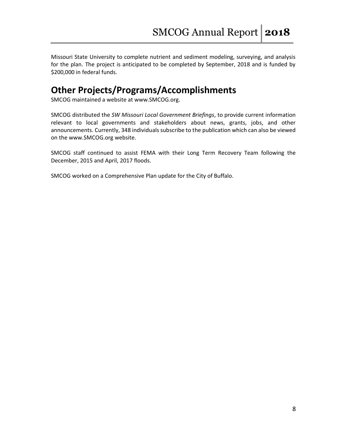Missouri State University to complete nutrient and sediment modeling, surveying, and analysis for the plan. The project is anticipated to be completed by September, 2018 and is funded by \$200,000 in federal funds.

## **Other Projects/Programs/Accomplishments**

SMCOG maintained a website at www.SMCOG.org.

SMCOG distributed the *SW Missouri Local Government Briefings*, to provide current information relevant to local governments and stakeholders about news, grants, jobs, and other announcements. Currently, 348 individuals subscribe to the publication which can also be viewed on the www.SMCOG.org website.

SMCOG staff continued to assist FEMA with their Long Term Recovery Team following the December, 2015 and April, 2017 floods.

SMCOG worked on a Comprehensive Plan update for the City of Buffalo.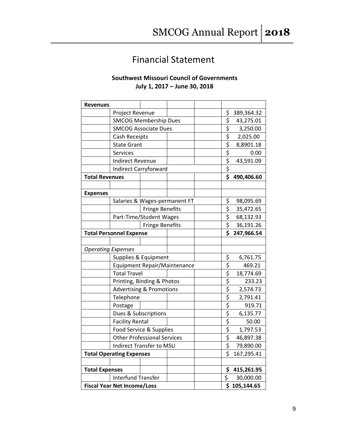## Financial Statement

#### **Southwest Missouri Council of Governments July 1, 2017 – June 30, 2018**

| <b>Revenues</b>                     |                                |                        |                               |                                 |              |
|-------------------------------------|--------------------------------|------------------------|-------------------------------|---------------------------------|--------------|
|                                     | Project Revenue                |                        |                               | \$                              | 389,364.32   |
|                                     | <b>SMCOG Membership Dues</b>   |                        |                               | \$                              | 43,275.01    |
|                                     | <b>SMCOG Associate Dues</b>    |                        |                               | $rac{5}{5}$                     | 3,250.00     |
|                                     | Cash Receipts                  |                        |                               |                                 | 2,025.00     |
|                                     | <b>State Grant</b>             |                        |                               | \$                              | 8,8901.18    |
|                                     | Services                       |                        |                               | \$                              | 0.00         |
|                                     | <b>Indirect Revenue</b>        |                        |                               | \$                              | 43,591.09    |
|                                     | <b>Indirect Carryforward</b>   |                        |                               | $\overline{\boldsymbol{\zeta}}$ |              |
| <b>Total Revenues</b>               |                                |                        |                               | \$                              | 490,406.60   |
|                                     |                                |                        |                               |                                 |              |
| <b>Expenses</b>                     |                                |                        |                               |                                 |              |
|                                     | Salaries & Wages-permanent FT  |                        |                               | \$                              | 98,095.69    |
|                                     |                                | <b>Fringe Benefits</b> |                               | \$                              | 35,472.65    |
|                                     | Part-Time/Student Wages        |                        |                               | \$                              | 68,132.93    |
|                                     |                                | <b>Fringe Benefits</b> |                               | \$                              | 36,191.26    |
|                                     | <b>Total Personnel Expense</b> |                        |                               | $\overline{\mathsf{s}}$         | 247,966.54   |
|                                     |                                |                        |                               |                                 |              |
| <b>Operating Expenses</b>           |                                |                        |                               |                                 |              |
| Supplies & Equipment                |                                |                        | \$                            | 6,761.75                        |              |
| <b>Equipment Repair/Maintenance</b> |                                |                        | $\overline{\boldsymbol{\xi}}$ | 469.21                          |              |
| <b>Total Travel</b>                 |                                |                        | \$                            | 18,774.69                       |              |
| Printing, Binding & Photos          |                                |                        | \$                            | 233.23                          |              |
| <b>Advertising &amp; Promotions</b> |                                |                        | \$                            | 2,574.73                        |              |
|                                     | Telephone                      |                        |                               | $\overline{\boldsymbol{\zeta}}$ | 2,791.41     |
|                                     | Postage                        |                        |                               | $rac{5}{5}$                     | 919.71       |
|                                     | Dues & Subscriptions           |                        |                               |                                 | 6,135.77     |
| <b>Facility Rental</b>              |                                |                        |                               | 50.00                           |              |
| Food Service & Supplies             |                                |                        | \$                            | 1,797.53                        |              |
| <b>Other Professional Services</b>  |                                |                        | \$                            | 46,897.38                       |              |
|                                     | Indirect Transfer to MSU       |                        |                               | \$                              | 79,890.00    |
| <b>Total Operating Expenses</b>     |                                |                        | $\overline{\mathsf{s}}$       | 167,295.41                      |              |
|                                     |                                |                        |                               |                                 |              |
| <b>Total Expenses</b>               |                                |                        |                               |                                 | \$415,261.95 |
| <b>Interfund Transfer</b>           |                                |                        | \$                            | 30,000.00                       |              |
| <b>Fiscal Year Net Income/Loss</b>  |                                |                        |                               |                                 | \$105,144.65 |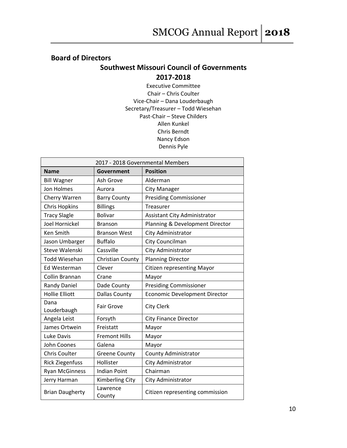## **Board of Directors Southwest Missouri Council of Governments 2017-2018**

Executive Committee Chair – Chris Coulter Vice-Chair – Dana Louderbaugh Secretary/Treasurer – Todd Wiesehan Past-Chair – Steve Childers Allen Kunkel Chris Berndt Nancy Edson Dennis Pyle

| 2017 - 2018 Governmental Members |                         |                                      |  |
|----------------------------------|-------------------------|--------------------------------------|--|
| <b>Name</b>                      | Government              | <b>Position</b>                      |  |
| <b>Bill Wagner</b>               | Ash Grove               | Alderman                             |  |
| Jon Holmes                       | Aurora                  | <b>City Manager</b>                  |  |
| Cherry Warren                    | <b>Barry County</b>     | <b>Presiding Commissioner</b>        |  |
| <b>Chris Hopkins</b>             | <b>Billings</b>         | <b>Treasurer</b>                     |  |
| <b>Tracy Slagle</b>              | <b>Bolivar</b>          | Assistant City Administrator         |  |
| <b>Joel Hornickel</b>            | <b>Branson</b>          | Planning & Development Director      |  |
| Ken Smith                        | <b>Branson West</b>     | City Administrator                   |  |
| Jason Umbarger                   | <b>Buffalo</b>          | City Councilman                      |  |
| Steve Walenski                   | Cassville               | City Administrator                   |  |
| <b>Todd Wiesehan</b>             | <b>Christian County</b> | <b>Planning Director</b>             |  |
| Ed Westerman                     | Clever                  | <b>Citizen representing Mayor</b>    |  |
| Collin Brannan                   | Crane                   | Mayor                                |  |
| <b>Randy Daniel</b>              | Dade County             | <b>Presiding Commissioner</b>        |  |
| <b>Hollie Elliott</b>            | <b>Dallas County</b>    | <b>Economic Development Director</b> |  |
| Dana<br>Louderbaugh              | <b>Fair Grove</b>       | <b>City Clerk</b>                    |  |
| Angela Leist                     | Forsyth                 | <b>City Finance Director</b>         |  |
| James Ortwein                    | Freistatt               | Mayor                                |  |
| Luke Davis                       | <b>Fremont Hills</b>    | Mayor                                |  |
| John Coones                      | Galena                  | Mayor                                |  |
| <b>Chris Coulter</b>             | <b>Greene County</b>    | <b>County Administrator</b>          |  |
| <b>Rick Ziegenfuss</b>           | Hollister               | City Administrator                   |  |
| <b>Ryan McGinness</b>            | <b>Indian Point</b>     | Chairman                             |  |
| Jerry Harman                     | <b>Kimberling City</b>  | City Administrator                   |  |
| <b>Brian Daugherty</b>           | Lawrence<br>County      | Citizen representing commission      |  |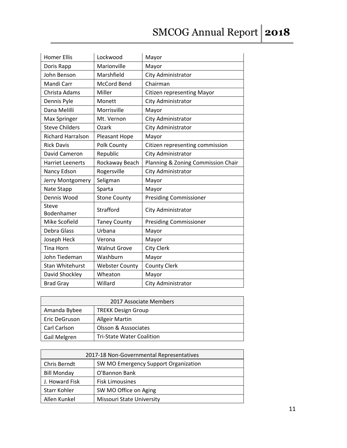# SMCOG Annual Report 2018

| <b>Homer Ellis</b>       | Lockwood              | Mayor                              |
|--------------------------|-----------------------|------------------------------------|
| Doris Rapp               | Marionville           | Mayor                              |
| John Benson              | Marshfield            | City Administrator                 |
| Mandi Carr               | <b>McCord Bend</b>    | Chairman                           |
| Christa Adams            | Miller                | <b>Citizen representing Mayor</b>  |
| Dennis Pyle              | Monett                | City Administrator                 |
| Dana Melilli             | Morrisville           | Mayor                              |
| Max Springer             | Mt. Vernon            | City Administrator                 |
| <b>Steve Childers</b>    | Ozark                 | City Administrator                 |
| <b>Richard Harralson</b> | Pleasant Hope         | Mayor                              |
| <b>Rick Davis</b>        | Polk County           | Citizen representing commission    |
| David Cameron            | Republic              | City Administrator                 |
| <b>Harriet Leenerts</b>  | Rockaway Beach        | Planning & Zoning Commission Chair |
| Nancy Edson              | Rogersville           | City Administrator                 |
| Jerry Montgomery         | Seligman              | Mayor                              |
| Nate Stapp               | Sparta                | Mayor                              |
| Dennis Wood              | <b>Stone County</b>   | <b>Presiding Commissioner</b>      |
| Steve<br>Bodenhamer      | Strafford             | City Administrator                 |
| Mike Scofield            | <b>Taney County</b>   | <b>Presiding Commissioner</b>      |
| Debra Glass              | Urbana                | Mayor                              |
| Joseph Heck              | Verona                | Mayor                              |
| <b>Tina Horn</b>         | <b>Walnut Grove</b>   | <b>City Clerk</b>                  |
| John Tiedeman            | Washburn              | Mayor                              |
| <b>Stan Whitehurst</b>   | <b>Webster County</b> | <b>County Clerk</b>                |
| David Shockley           | Wheaton               | Mayor                              |
| <b>Brad Gray</b>         | Willard               | City Administrator                 |

| 2017 Associate Members |                                  |  |
|------------------------|----------------------------------|--|
| Amanda Bybee           | <b>TREKK Design Group</b>        |  |
| Eric DeGruson          | <b>Allgeir Martin</b>            |  |
| Carl Carlson           | Olsson & Asssociates             |  |
| Gail Melgren           | <b>Tri-State Water Coalition</b> |  |

| 2017-18 Non-Governmental Representatives |                                      |  |
|------------------------------------------|--------------------------------------|--|
| Chris Berndt                             | SW MO Emergency Support Organization |  |
| <b>Bill Monday</b>                       | O'Bannon Bank                        |  |
| J. Howard Fisk                           | <b>Fisk Limousines</b>               |  |
| Starr Kohler                             | SW MO Office on Aging                |  |
| Allen Kunkel                             | <b>Missouri State University</b>     |  |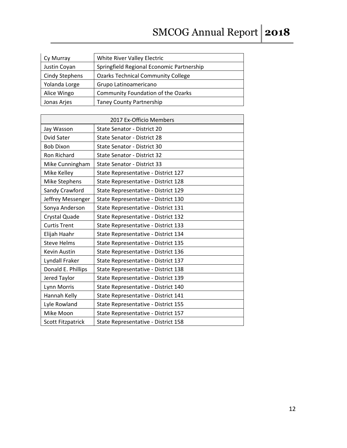# SMCOG Annual Report 2018

| Cy Murray             | White River Valley Electric               |
|-----------------------|-------------------------------------------|
| Justin Coyan          | Springfield Regional Economic Partnership |
| <b>Cindy Stephens</b> | <b>Ozarks Technical Community College</b> |
| Yolanda Lorge         | Grupo Latinoamericano                     |
| Alice Wingo           | Community Foundation of the Ozarks        |
| Jonas Arjes           | Taney County Partnership                  |

| 2017 Ex-Officio Members  |                                     |  |
|--------------------------|-------------------------------------|--|
| Jay Wasson               | State Senator - District 20         |  |
| Dvid Sater               | State Senator - District 28         |  |
| <b>Bob Dixon</b>         | State Senator - District 30         |  |
| <b>Ron Richard</b>       | <b>State Senator - District 32</b>  |  |
| Mike Cunningham          | <b>State Senator - District 33</b>  |  |
| Mike Kelley              | State Representative - District 127 |  |
| Mike Stephens            | State Representative - District 128 |  |
| Sandy Crawford           | State Representative - District 129 |  |
| Jeffrey Messenger        | State Representative - District 130 |  |
| Sonya Anderson           | State Representative - District 131 |  |
| Crystal Quade            | State Representative - District 132 |  |
| <b>Curtis Trent</b>      | State Representative - District 133 |  |
| Elijah Haahr             | State Representative - District 134 |  |
| <b>Steve Helms</b>       | State Representative - District 135 |  |
| Kevin Austin             | State Representative - District 136 |  |
| Lyndall Fraker           | State Representative - District 137 |  |
| Donald E. Phillips       | State Representative - District 138 |  |
| Jered Taylor             | State Representative - District 139 |  |
| Lynn Morris              | State Representative - District 140 |  |
| Hannah Kelly             | State Representative - District 141 |  |
| Lyle Rowland             | State Representative - District 155 |  |
| Mike Moon                | State Representative - District 157 |  |
| <b>Scott Fitzpatrick</b> | State Representative - District 158 |  |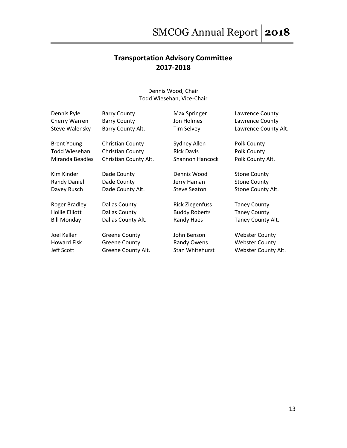## **Transportation Advisory Committee 2017-2018**

Dennis Wood, Chair Todd Wiesehan, Vice-Chair

| Dennis Pyle<br>Cherry Warren<br>Steve Walensky | <b>Barry County</b><br><b>Barry County</b><br>Barry County Alt. | Max Springer<br>Jon Holmes<br><b>Tim Selvey</b> | Lawrence County<br>Lawrence County<br>Lawrence County Alt. |
|------------------------------------------------|-----------------------------------------------------------------|-------------------------------------------------|------------------------------------------------------------|
| <b>Brent Young</b>                             | <b>Christian County</b>                                         | Sydney Allen                                    | Polk County                                                |
| Todd Wiesehan                                  | <b>Christian County</b>                                         | <b>Rick Davis</b>                               | Polk County                                                |
| Miranda Beadles                                | Christian County Alt.                                           | <b>Shannon Hancock</b>                          | Polk County Alt.                                           |
| Kim Kinder                                     | Dade County                                                     | Dennis Wood                                     | <b>Stone County</b>                                        |
| Randy Daniel                                   | Dade County                                                     | Jerry Haman                                     | <b>Stone County</b>                                        |
| Davey Rusch                                    | Dade County Alt.                                                | <b>Steve Seaton</b>                             | Stone County Alt.                                          |
| Roger Bradley                                  | Dallas County                                                   | <b>Rick Ziegenfuss</b>                          | <b>Taney County</b>                                        |
| Hollie Elliott                                 | Dallas County                                                   | <b>Buddy Roberts</b>                            | <b>Taney County</b>                                        |
| <b>Bill Monday</b>                             | Dallas County Alt.                                              | Randy Haes                                      | Taney County Alt.                                          |
| Joel Keller                                    | <b>Greene County</b>                                            | John Benson                                     | <b>Webster County</b>                                      |
| <b>Howard Fisk</b>                             | <b>Greene County</b>                                            | Randy Owens                                     | <b>Webster County</b>                                      |

Jeff Scott Greene County Alt. Stan Whitehurst Webster County Alt.